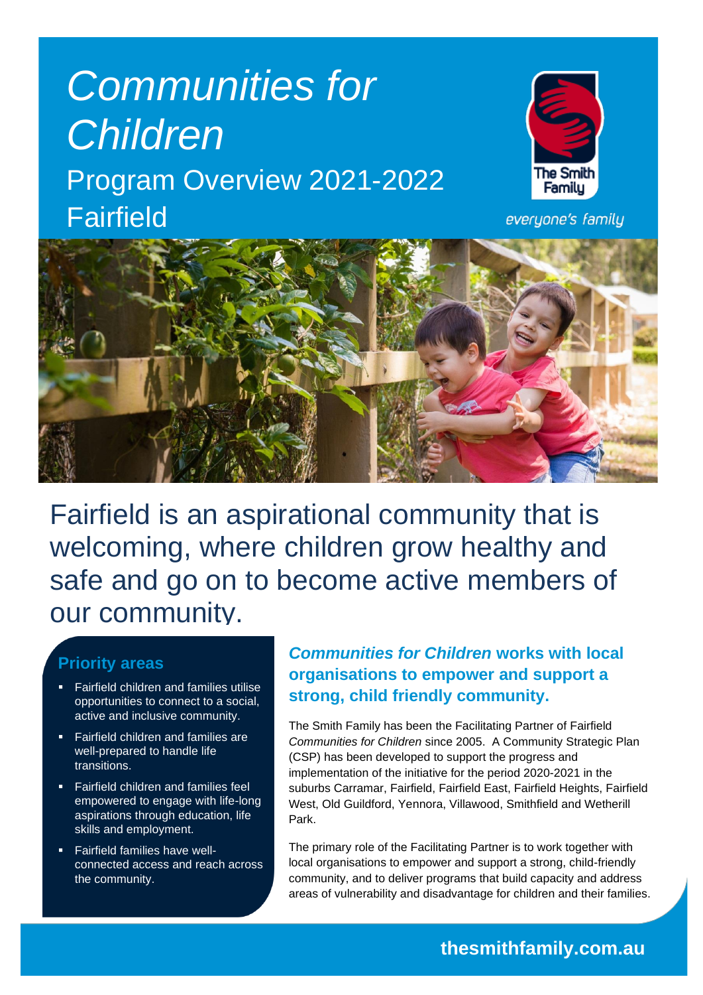# *Communities for Children* Program Overview 2021-2022 Fairfield



everyone's family



Fairfield is an aspirational community that is welcoming, where children grow healthy and safe and go on to become active members of our community.

#### **Priority areas**

- **Fairfield children and families utilise** opportunities to connect to a social, active and inclusive community.
- Fairfield children and families are well-prepared to handle life transitions.
- Fairfield children and families feel empowered to engage with life-long aspirations through education, life skills and employment.
- **Fairfield families have well**connected access and reach across the community.

## *Communities for Children* **works with local organisations to empower and support a strong, child friendly community.**

The Smith Family has been the Facilitating Partner of Fairfield *Communities for Children* since 2005. A Community Strategic Plan (CSP) has been developed to support the progress and implementation of the initiative for the period 2020-2021 in the suburbs Carramar, Fairfield, Fairfield East, Fairfield Heights, Fairfield West, Old Guildford, Yennora, Villawood, Smithfield and Wetherill Park.

The primary role of the Facilitating Partner is to work together with local organisations to empower and support a strong, child-friendly community, and to deliver programs that build capacity and address areas of vulnerability and disadvantage for children and their families.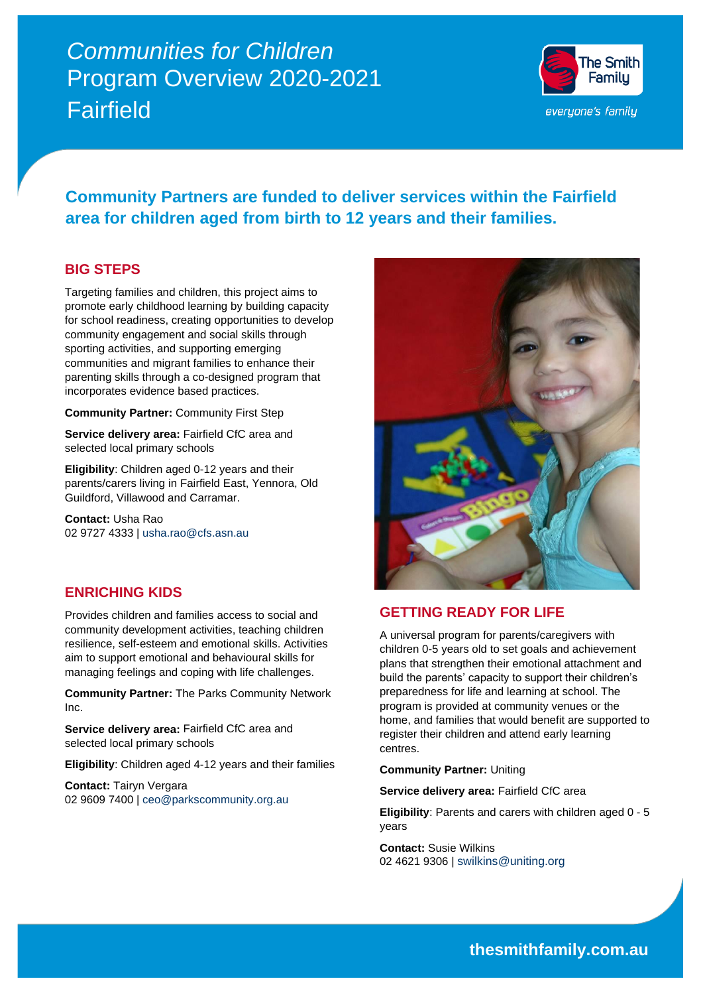# *Communities for Children* Program Overview 2020-2021 Fairfield



## **Community Partners are funded to deliver services within the Fairfield area for children aged from birth to 12 years and their families.**

#### **BIG STEPS**

Targeting families and children, this project aims to promote early childhood learning by building capacity for school readiness, creating opportunities to develop community engagement and social skills through sporting activities, and supporting emerging communities and migrant families to enhance their parenting skills through a co-designed program that incorporates evidence based practices.

**Community Partner:** Community First Step

**Service delivery area:** Fairfield CfC area and selected local primary schools

**Eligibility**: Children aged 0-12 years and their parents/carers living in Fairfield East, Yennora, Old Guildford, Villawood and Carramar.

**Contact:** Usha Rao 02 9727 4333 | [usha.rao@cfs.asn.au](mailto:usha.rao@cfs.asn.au)

#### **ENRICHING KIDS**

Provides children and families access to social and community development activities, teaching children resilience, self-esteem and emotional skills. Activities aim to support emotional and behavioural skills for managing feelings and coping with life challenges.

**Community Partner:** The Parks Community Network Inc.

**Service delivery area:** Fairfield CfC area and selected local primary schools

**Eligibility**: Children aged 4-12 years and their families

**Contact:** Tairyn Vergara 02 9609 7400 | [ceo@parkscommunity.org.au](mailto:ceo@parkscommunity.org.au)



#### **GETTING READY FOR LIFE**

A universal program for parents/caregivers with children 0-5 years old to set goals and achievement plans that strengthen their emotional attachment and build the parents' capacity to support their children's preparedness for life and learning at school. The program is provided at community venues or the home, and families that would benefit are supported to register their children and attend early learning centres.

**Community Partner:** Uniting

**Service delivery area:** Fairfield CfC area

**Eligibility**: Parents and carers with children aged 0 - 5 years

**Contact:** Susie Wilkins 02 4621 9306 | [swilkins@uniting.org](mailto:swilkins@uniting.org)

**thesmithfamily.com.au**